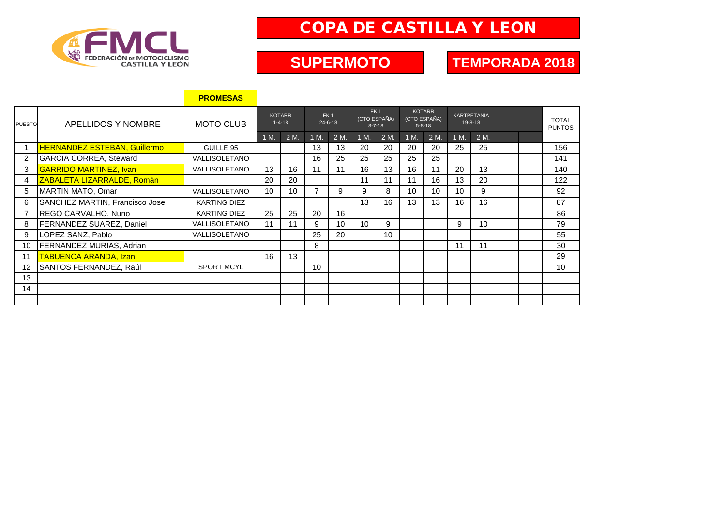

# COPA DE CASTILLA Y LEON

#### **SUPERMOTO**

### **TEMPORADA 2018**

|                |                                     | <b>PROMESAS</b>      |                               |      |                                  |      |                                                 |      |                                               |      |                                     |      |  |  |                               |
|----------------|-------------------------------------|----------------------|-------------------------------|------|----------------------------------|------|-------------------------------------------------|------|-----------------------------------------------|------|-------------------------------------|------|--|--|-------------------------------|
| <b>PUESTO</b>  | APELLIDOS Y NOMBRE                  | <b>MOTO CLUB</b>     | <b>KOTARR</b><br>$1 - 4 - 18$ |      | FK <sub>1</sub><br>$24 - 6 - 18$ |      | FK <sub>1</sub><br>(CTO ESPAÑA)<br>$8 - 7 - 18$ |      | <b>KOTARR</b><br>(CTO ESPAÑA)<br>$5 - 8 - 18$ |      | <b>KARTPETANIA</b><br>$19 - 8 - 18$ |      |  |  | <b>TOTAL</b><br><b>PUNTOS</b> |
|                |                                     |                      | 1 M.                          | 2 M. | 1 M.                             | 2 M. | 1 M.                                            | 2 M. | 1 M.                                          | 2 M. | 1 M.                                | 2 M. |  |  |                               |
|                | <b>HERNANDEZ ESTEBAN, Guillermo</b> | GUILLE 95            |                               |      | 13                               | 13   | 20                                              | 20   | 20                                            | 20   | 25                                  | 25   |  |  | 156                           |
| $\overline{2}$ | <b>GARCIA CORREA, Steward</b>       | VALLISOLETANO        |                               |      | 16                               | 25   | 25                                              | 25   | 25                                            | 25   |                                     |      |  |  | 141                           |
| 3              | <b>GARRIDO MARTINEZ, Ivan</b>       | <b>VALLISOLETANO</b> | 13                            | 16   | 11                               | 11   | 16                                              | 13   | 16                                            | 11   | 20                                  | 13   |  |  | 140                           |
| 4              | ZABALETA LIZARRALDE, Román          |                      | 20                            | 20   |                                  |      | 11                                              | 11   | 11                                            | 16   | 13                                  | 20   |  |  | 122                           |
| 5              | MARTIN MATO, Omar                   | VALLISOLETANO        | 10                            | 10   | $\overline{7}$                   | 9    | 9                                               | 8    | 10                                            | 10   | 10                                  | 9    |  |  | 92                            |
| 6              | SANCHEZ MARTIN, Francisco Jose      | <b>KARTING DIEZ</b>  |                               |      |                                  |      | 13                                              | 16   | 13                                            | 13   | 16                                  | 16   |  |  | 87                            |
| $\overline{7}$ | REGO CARVALHO, Nuno                 | <b>KARTING DIEZ</b>  | 25                            | 25   | 20                               | 16   |                                                 |      |                                               |      |                                     |      |  |  | 86                            |
| 8              | FERNANDEZ SUAREZ, Daniel            | VALLISOLETANO        | 11                            | 11   | 9                                | 10   | 10                                              | 9    |                                               |      | 9                                   | 10   |  |  | 79                            |
| 9              | LOPEZ SANZ, Pablo                   | <b>VALLISOLETANO</b> |                               |      | 25                               | 20   |                                                 | 10   |                                               |      |                                     |      |  |  | 55                            |
| 10             | <b>FERNANDEZ MURIAS, Adrian</b>     |                      |                               |      | 8                                |      |                                                 |      |                                               |      | 11                                  | 11   |  |  | 30                            |
| 11             | <b>TABUENCA ARANDA, Izan</b>        |                      | 16                            | 13   |                                  |      |                                                 |      |                                               |      |                                     |      |  |  | 29                            |
| 12             | SANTOS FERNANDEZ, Raúl              | <b>SPORT MCYL</b>    |                               |      | 10                               |      |                                                 |      |                                               |      |                                     |      |  |  | 10                            |
| 13             |                                     |                      |                               |      |                                  |      |                                                 |      |                                               |      |                                     |      |  |  |                               |
| 14             |                                     |                      |                               |      |                                  |      |                                                 |      |                                               |      |                                     |      |  |  |                               |
|                |                                     |                      |                               |      |                                  |      |                                                 |      |                                               |      |                                     |      |  |  |                               |